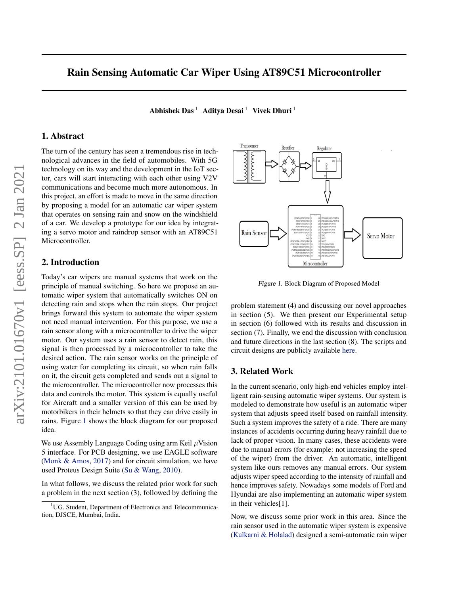# Rain Sensing Automatic Car Wiper Using AT89C51 Microcontroller

Abhishek Das<sup>1</sup> Aditya Desai<sup>1</sup> Vivek Dhuri<sup>1</sup>

# 1. Abstract

The turn of the century has seen a tremendous rise in technological advances in the field of automobiles. With 5G technology on its way and the development in the IoT sector, cars will start interacting with each other using V2V communications and become much more autonomous. In this project, an effort is made to move in the same direction by proposing a model for an automatic car wiper system that operates on sensing rain and snow on the windshield of a car. We develop a prototype for our idea by integrating a servo motor and raindrop sensor with an AT89C51 Microcontroller.

## 2. Introduction

Today's car wipers are manual systems that work on the principle of manual switching. So here we propose an automatic wiper system that automatically switches ON on detecting rain and stops when the rain stops. Our project brings forward this system to automate the wiper system not need manual intervention. For this purpose, we use a rain sensor along with a microcontroller to drive the wiper motor. Our system uses a rain sensor to detect rain, this signal is then processed by a microcontroller to take the desired action. The rain sensor works on the principle of using water for completing its circuit, so when rain falls on it, the circuit gets completed and sends out a signal to the microcontroller. The microcontroller now processes this data and controls the motor. This system is equally useful for Aircraft and a smaller version of this can be used by motorbikers in their helmets so that they can drive easily in rains. Figure 1 shows the block diagram for our proposed idea.

We use Assembly Language Coding using arm Keil  $\mu$ Vision 5 interface. For PCB designing, we use EAGLE software [\(Monk & Amos,](#page-4-0) [2017\)](#page-4-0) and for circuit simulation, we have used Proteus Design Suite [\(Su & Wang,](#page-4-0) [2010\)](#page-4-0).

In what follows, we discuss the related prior work for such a problem in the next section (3), followed by defining the



Figure 1. Block Diagram of Proposed Model

problem statement (4) and discussing our novel approaches in section (5). We then present our Experimental setup in section (6) followed with its results and discussion in section (7). Finally, we end the discussion with conclusion and future directions in the last section (8). The scripts and circuit designs are publicly available [here.](https://github.com/Abhishek0697/Rain-Sensing-Automatic-Car-Wiper-using-AT89C51-Microcontroller/tree/master/)

# 3. Related Work

In the current scenario, only high-end vehicles employ intelligent rain-sensing automatic wiper systems. Our system is modeled to demonstrate how useful is an automatic wiper system that adjusts speed itself based on rainfall intensity. Such a system improves the safety of a ride. There are many instances of accidents occurring during heavy rainfall due to lack of proper vision. In many cases, these accidents were due to manual errors (for example: not increasing the speed of the wiper) from the driver. An automatic, intelligent system like ours removes any manual errors. Our system adjusts wiper speed according to the intensity of rainfall and hence improves safety. Nowadays some models of Ford and Hyundai are also implementing an automatic wiper system in their vehicles[1].

Now, we discuss some prior work in this area. Since the rain sensor used in the automatic wiper system is expensive [\(Kulkarni & Holalad\)](#page-4-0) designed a semi-automatic rain wiper

<sup>&</sup>lt;sup>1</sup>UG. Student, Department of Electronics and Telecommunication, DJSCE, Mumbai, India.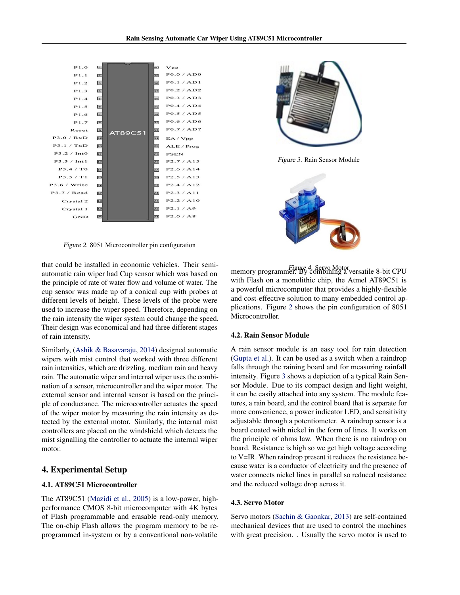<span id="page-1-0"></span>

Figure 2. 8051 Microcontroller pin configuration

that could be installed in economic vehicles. Their semiautomatic rain wiper had Cup sensor which was based on the principle of rate of water flow and volume of water. The cup sensor was made up of a conical cup with probes at different levels of height. These levels of the probe were used to increase the wiper speed. Therefore, depending on the rain intensity the wiper system could change the speed. Their design was economical and had three different stages of rain intensity.

Similarly, [\(Ashik & Basavaraju,](#page-4-0) [2014\)](#page-4-0) designed automatic wipers with mist control that worked with three different rain intensities, which are drizzling, medium rain and heavy rain. The automatic wiper and internal wiper uses the combination of a sensor, microcontroller and the wiper motor. The external sensor and internal sensor is based on the principle of conductance. The microcontroller actuates the speed of the wiper motor by measuring the rain intensity as detected by the external motor. Similarly, the internal mist controllers are placed on the windshield which detects the mist signalling the controller to actuate the internal wiper motor.

### 4. Experimental Setup

#### 4.1. AT89C51 Microcontroller

The AT89C51 [\(Mazidi et al.,](#page-4-0) [2005\)](#page-4-0) is a low-power, highperformance CMOS 8-bit microcomputer with 4K bytes of Flash programmable and erasable read-only memory. The on-chip Flash allows the program memory to be reprogrammed in-system or by a conventional non-volatile



Figure 3. Rain Sensor Module



Figure 4. Servo Motor memory programmer. By combining a versatile 8-bit CPU with Flash on a monolithic chip, the Atmel AT89C51 is a powerful microcomputer that provides a highly-flexible and cost-effective solution to many embedded control applications. Figure 2 shows the pin configuration of 8051 Microcontroller.

#### 4.2. Rain Sensor Module

A rain sensor module is an easy tool for rain detection [\(Gupta et al.\)](#page-4-0). It can be used as a switch when a raindrop falls through the raining board and for measuring rainfall intensity. Figure 3 shows a depiction of a typical Rain Sensor Module. Due to its compact design and light weight, it can be easily attached into any system. The module features, a rain board, and the control board that is separate for more convenience, a power indicator LED, and sensitivity adjustable through a potentiometer. A raindrop sensor is a board coated with nickel in the form of lines. It works on the principle of ohms law. When there is no raindrop on board. Resistance is high so we get high voltage according to V=IR. When raindrop present it reduces the resistance because water is a conductor of electricity and the presence of water connects nickel lines in parallel so reduced resistance and the reduced voltage drop across it.

#### 4.3. Servo Motor

Servo motors [\(Sachin & Gaonkar,](#page-4-0) [2013\)](#page-4-0) are self-contained mechanical devices that are used to control the machines with great precision. . Usually the servo motor is used to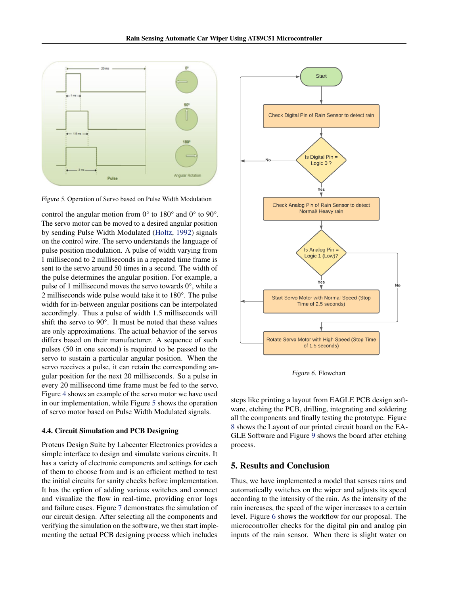

Figure 5. Operation of Servo based on Pulse Width Modulation

control the angular motion from 0° to 180° and 0° to 90°. The servo motor can be moved to a desired angular position by sending Pulse Width Modulated [\(Holtz,](#page-4-0) [1992\)](#page-4-0) signals on the control wire. The servo understands the language of pulse position modulation. A pulse of width varying from 1 millisecond to 2 milliseconds in a repeated time frame is sent to the servo around 50 times in a second. The width of the pulse determines the angular position. For example, a pulse of 1 millisecond moves the servo towards 0°, while a 2 milliseconds wide pulse would take it to 180°. The pulse width for in-between angular positions can be interpolated accordingly. Thus a pulse of width 1.5 milliseconds will shift the servo to 90°. It must be noted that these values are only approximations. The actual behavior of the servos differs based on their manufacturer. A sequence of such pulses (50 in one second) is required to be passed to the servo to sustain a particular angular position. When the servo receives a pulse, it can retain the corresponding angular position for the next 20 milliseconds. So a pulse in every 20 millisecond time frame must be fed to the servo. Figure [4](#page-1-0) shows an example of the servo motor we have used in our implementation, while Figure 5 shows the operation of servo motor based on Pulse Width Modulated signals.

#### 4.4. Circuit Simulation and PCB Designing

Proteus Design Suite by Labcenter Electronics provides a simple interface to design and simulate various circuits. It has a variety of electronic components and settings for each of them to choose from and is an efficient method to test the initial circuits for sanity checks before implementation. It has the option of adding various switches and connect and visualize the flow in real-time, providing error logs and failure cases. Figure [7](#page-3-0) demonstrates the simulation of our circuit design. After selecting all the components and verifying the simulation on the software, we then start implementing the actual PCB designing process which includes



Figure 6. Flowchart

steps like printing a layout from EAGLE PCB design software, etching the PCB, drilling, integrating and soldering all the components and finally testing the prototype. Figure [8](#page-3-0) shows the Layout of our printed circuit board on the EA-GLE Software and Figure [9](#page-3-0) shows the board after etching process.

### 5. Results and Conclusion

Thus, we have implemented a model that senses rains and automatically switches on the wiper and adjusts its speed according to the intensity of the rain. As the intensity of the rain increases, the speed of the wiper increases to a certain level. Figure 6 shows the workflow for our proposal. The microcontroller checks for the digital pin and analog pin inputs of the rain sensor. When there is slight water on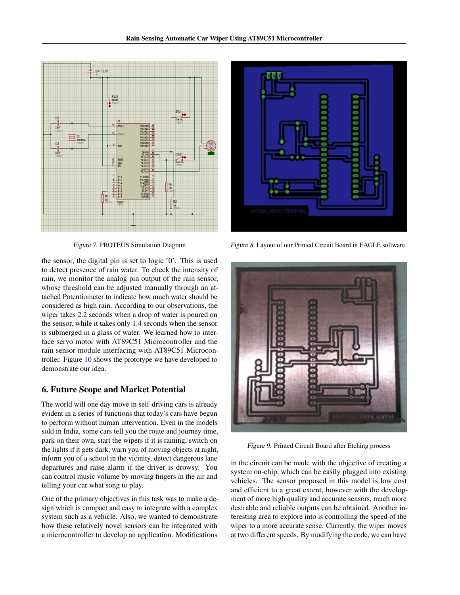<span id="page-3-0"></span>

Figure 7. PROTEUS Simulation Diagram

the sensor, the digital pin is set to logic '0'. This is used to detect presence of rain water. To check the intensity of rain, we monitor the analog pin output of the rain sensor, whose threshold can be adjusted manually through an attached Potentiometer to indicate how much water should be considered as high rain. According to our observations, the wiper takes 2.2 seconds when a drop of water is poured on the sensor, while it takes only 1.4 seconds when the sensor is submerged in a glass of water. We learned how to interface servo motor with AT89C51 Microcontroller and the rain sensor module interfacing with AT89C51 Microcontroller. Figure [10](#page-4-0) shows the prototype we have developed to demonstrate our idea.

## 6. Future Scope and Market Potential

The world will one day move in self-driving cars is already evident in a series of functions that today's cars have begun to perform without human intervention. Even in the models sold in India, some cars tell you the route and journey time, park on their own, start the wipers if it is raining, switch on the lights if it gets dark, warn you of moving objects at night, inform you of a school in the vicinity, detect dangerous lane departures and raise alarm if the driver is drowsy. You can control music volume by moving fingers in the air and telling your car what song to play.

One of the primary objectives in this task was to make a design which is compact and easy to integrate with a complex system such as a vehicle. Also, we wanted to demonstrate how these relatively novel sensors can be integrated with a microcontroller to develop an application. Modifications



Figure 8. Layout of our Printed Circuit Board in EAGLE software



Figure 9. Printed Circuit Board after Etching process

in the circuit can be made with the objective of creating a system on-chip, which can be easily plugged into existing vehicles. The sensor proposed in this model is low cost and efficient to a great extent, however with the development of more high quality and accurate sensors, much more desirable and reliable outputs can be obtained. Another interesting area to explore into is controlling the speed of the wiper to a more accurate sense. Currently, the wiper moves at two different speeds. By modifying the code, we can have